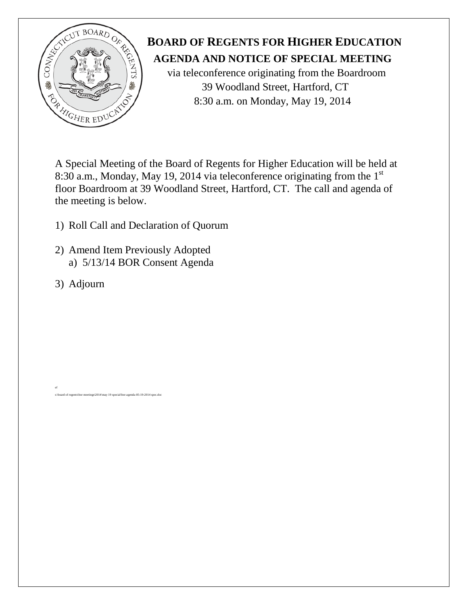

# **BOARD OF REGENTS FOR HIGHER EDUCATION**<br>**AGENDA AND NOTICE OF SPECIAL MEETING**<br>via teleconference originating from the Boardroom  **AGENDA AND NOTICE OF SPECIAL MEETING**

 via teleconference originating from the Boardroom 39 Woodland Street, Hartford, CT

A Special Meeting of the Board of Regents for Higher Education will be held at 8:30 a.m., Monday, May 19, 2014 via teleconference originating from the 1<sup>st</sup> floor Boardroom at 39 Woodland Street, Hartford, CT. The call and agenda of the meeting is below.

- 1) Roll Call and Declaration of Quorum
- 2) Amend Item Previously Adopted a) 5/13/14 BOR Consent Agenda

 $eetings\$ 2014\may 19 special\bor-agenda-05-19-2014 spe

3) Adjourn

ef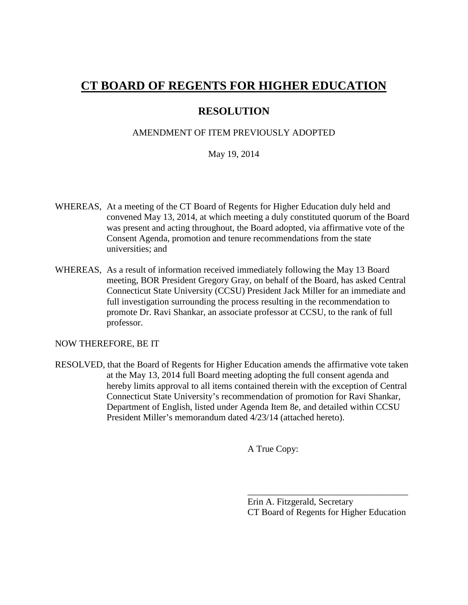# **CT BOARD OF REGENTS FOR HIGHER EDUCATION**

## **RESOLUTION**

#### AMENDMENT OF ITEM PREVIOUSLY ADOPTED

#### May 19, 2014

- WHEREAS, At a meeting of the CT Board of Regents for Higher Education duly held and convened May 13, 2014, at which meeting a duly constituted quorum of the Board was present and acting throughout, the Board adopted, via affirmative vote of the Consent Agenda, promotion and tenure recommendations from the state universities; and
- WHEREAS, As a result of information received immediately following the May 13 Board meeting, BOR President Gregory Gray, on behalf of the Board, has asked Central Connecticut State University (CCSU) President Jack Miller for an immediate and full investigation surrounding the process resulting in the recommendation to promote Dr. Ravi Shankar, an associate professor at CCSU, to the rank of full professor.

NOW THEREFORE, BE IT

RESOLVED, that the Board of Regents for Higher Education amends the affirmative vote taken at the May 13, 2014 full Board meeting adopting the full consent agenda and hereby limits approval to all items contained therein with the exception of Central Connecticut State University's recommendation of promotion for Ravi Shankar, Department of English, listed under Agenda Item 8e, and detailed within CCSU President Miller's memorandum dated 4/23/14 (attached hereto).

A True Copy:

Erin A. Fitzgerald, Secretary CT Board of Regents for Higher Education

\_\_\_\_\_\_\_\_\_\_\_\_\_\_\_\_\_\_\_\_\_\_\_\_\_\_\_\_\_\_\_\_\_\_\_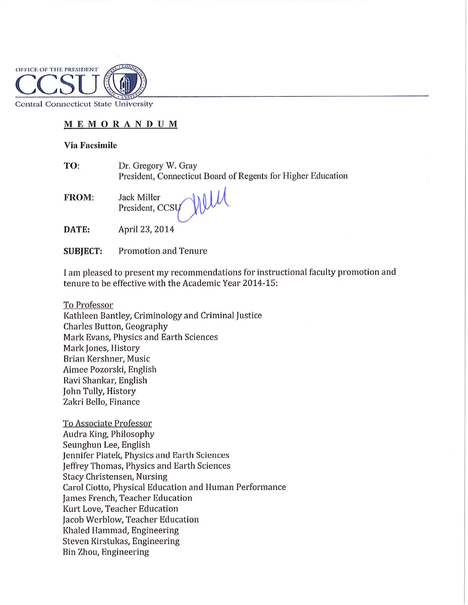

**Central Connecticut State University** 

### MEMORANDUM

#### **Via Facsimile**

| TO: | Dr. Gregory W. Gray                                          |
|-----|--------------------------------------------------------------|
|     | President, Connecticut Board of Regents for Higher Education |

FROM: Jack Miller President, CCSU

nell

DATE: April 23, 2014

#### **Promotion and Tenure SUBJECT:**

I am pleased to present my recommendations for instructional faculty promotion and tenure to be effective with the Academic Year 2014-15:

To Professor

Kathleen Bantley, Criminology and Criminal Justice Charles Button, Geography Mark Evans, Physics and Earth Sciences Mark Jones, History Brian Kershner, Music Aimee Pozorski, English Ravi Shankar, English John Tully, History Zakri Bello, Finance

To Associate Professor Audra King, Philosophy Seunghun Lee, English Jennifer Piatek, Physics and Earth Sciences Jeffrey Thomas, Physics and Earth Sciences **Stacy Christensen, Nursing** Carol Ciotto, Physical Education and Human Performance James French, Teacher Education Kurt Love, Teacher Education Jacob Werblow, Teacher Education Khaled Hammad, Engineering Steven Kirstukas, Engineering Bin Zhou, Engineering